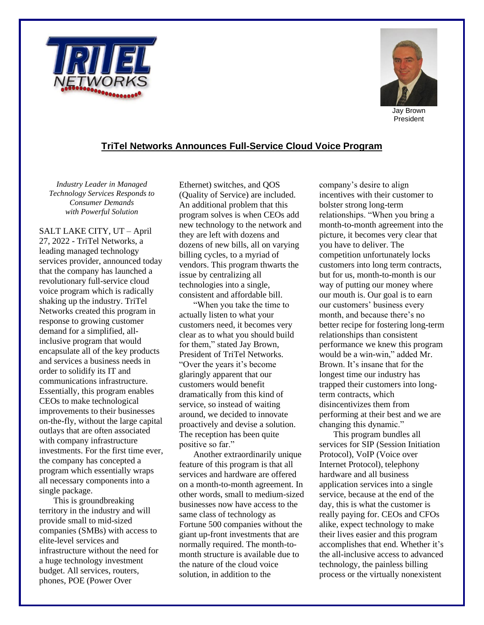



President

## **TriTel Networks Announces Full-Service Cloud Voice Program**

*Industry Leader in Managed Technology Services Responds to Consumer Demands with Powerful Solution*

SALT LAKE CITY, UT – April 27, 2022 - TriTel Networks, a leading managed technology services provider, announced today that the company has launched a revolutionary full-service cloud voice program which is radically shaking up the industry. TriTel Networks created this program in response to growing customer demand for a simplified, allinclusive program that would encapsulate all of the key products and services a business needs in order to solidify its IT and communications infrastructure. Essentially, this program enables CEOs to make technological improvements to their businesses on-the-fly, without the large capital outlays that are often associated with company infrastructure investments. For the first time ever, the company has concepted a program which essentially wraps all necessary components into a single package.

This is groundbreaking territory in the industry and will provide small to mid-sized companies (SMBs) with access to elite-level services and infrastructure without the need for a huge technology investment budget. All services, routers, phones, POE (Power Over

Ethernet) switches, and QOS (Quality of Service) are included. An additional problem that this program solves is when CEOs add new technology to the network and they are left with dozens and dozens of new bills, all on varying billing cycles, to a myriad of vendors. This program thwarts the issue by centralizing all technologies into a single, consistent and affordable bill.

"When you take the time to actually listen to what your customers need, it becomes very clear as to what you should build for them," stated Jay Brown, President of TriTel Networks. "Over the years it's become glaringly apparent that our customers would benefit dramatically from this kind of service, so instead of waiting around, we decided to innovate proactively and devise a solution. The reception has been quite positive so far."

Another extraordinarily unique feature of this program is that all services and hardware are offered on a month-to-month agreement. In other words, small to medium-sized businesses now have access to the same class of technology as Fortune 500 companies without the giant up-front investments that are normally required. The month-tomonth structure is available due to the nature of the cloud voice solution, in addition to the

company's desire to align incentives with their customer to bolster strong long-term relationships. "When you bring a month-to-month agreement into the picture, it becomes very clear that you have to deliver. The competition unfortunately locks customers into long term contracts, but for us, month-to-month is our way of putting our money where our mouth is. Our goal is to earn our customers' business every month, and because there's no better recipe for fostering long-term relationships than consistent performance we knew this program would be a win-win," added Mr. Brown. It's insane that for the longest time our industry has trapped their customers into longterm contracts, which disincentivizes them from performing at their best and we are changing this dynamic."

This program bundles all services for SIP (Session Initiation Protocol), VoIP (Voice over Internet Protocol), telephony hardware and all business application services into a single service, because at the end of the day, this is what the customer is really paying for. CEOs and CFOs alike, expect technology to make their lives easier and this program accomplishes that end. Whether it's the all-inclusive access to advanced technology, the painless billing process or the virtually nonexistent